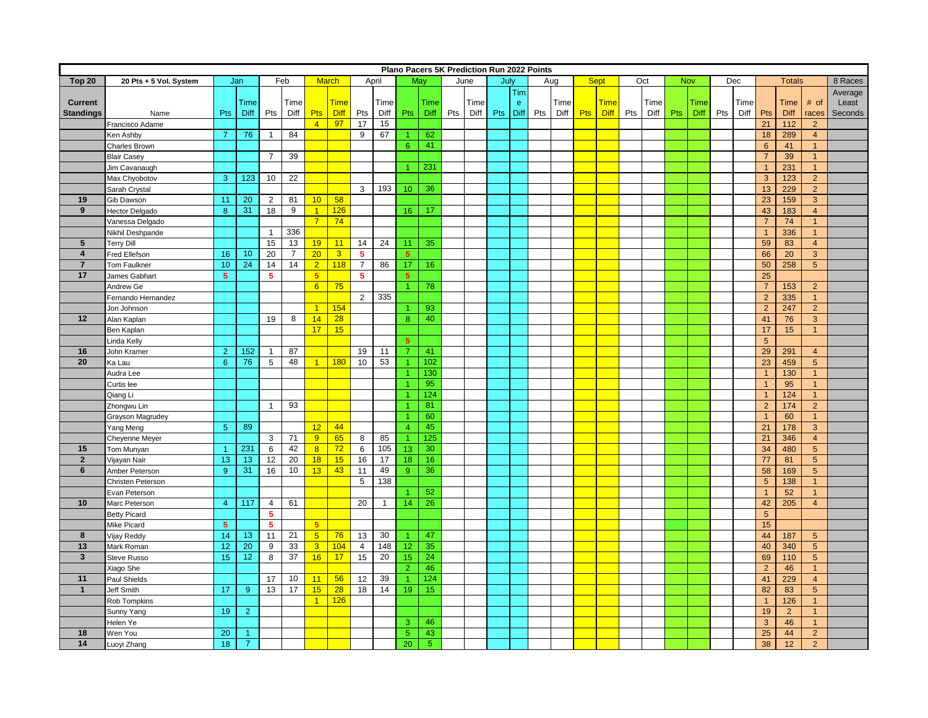|                         |                                      |                |                 | Plano Pacers 5K Prediction Run 2022 Points |                |                       |                |                |      |                      |            |     |      |     |              |     |      |             |             |     |      |     |      |     |      |                 |                |                                  |         |
|-------------------------|--------------------------------------|----------------|-----------------|--------------------------------------------|----------------|-----------------------|----------------|----------------|------|----------------------|------------|-----|------|-----|--------------|-----|------|-------------|-------------|-----|------|-----|------|-----|------|-----------------|----------------|----------------------------------|---------|
| Top 20                  | Jan<br>Feb<br>20 Pts + 5 Vol. System |                |                 |                                            |                | <b>March</b><br>April |                |                |      | May                  |            |     | June |     | July<br>Aug  |     |      | <b>Sept</b> |             |     | Oct  | Nov |      |     | Dec  |                 | <b>Totals</b>  |                                  | 8 Races |
|                         |                                      |                |                 |                                            |                |                       |                |                |      |                      |            |     |      |     | Tim          |     |      |             |             |     |      |     |      |     |      |                 |                |                                  | Average |
| Current                 |                                      |                | Time            |                                            | Time           |                       | <b>Time</b>    |                | Time |                      | Time       |     | Time |     | $\mathbf{e}$ |     | Time |             | <b>Time</b> |     | Time |     | Time |     | Time |                 | <b>Time</b>    | # of                             | Least   |
| <b>Standings</b>        | Name                                 | Pts            | Diff            | Pts                                        | Diff           | <b>Pts</b>            | <b>Diff</b>    | Pts            | Diff | <b>Pts</b>           | Diff       | Pts | Diff | Pts | <b>Diff</b>  | Pts | Diff | Pts         | Diff        | Pts | Diff | Pts | Diff | Pts | Diff | Pts             | Diff           | races                            | Seconds |
|                         | Francisco Adame                      |                |                 |                                            |                | $\overline{4}$        | 97             | 17             | 15   |                      |            |     |      |     |              |     |      |             |             |     |      |     |      |     |      | 21              | 112            | 2                                |         |
|                         | Ken Ashby                            | $\overline{7}$ | 76              | $\mathbf{1}$                               | 84             |                       |                | 9              | 67   | $\vert$ 1            | 62         |     |      |     |              |     |      |             |             |     |      |     |      |     |      | 18              | 289            | $\overline{4}$                   |         |
|                         | Charles Brown                        |                |                 |                                            |                |                       |                |                |      | $6^{\circ}$          | 41         |     |      |     |              |     |      |             |             |     |      |     |      |     |      | 6               | 41             | $\mathbf{1}$                     |         |
|                         | <b>Blair Casey</b>                   |                |                 | $\overline{7}$                             | 39             |                       |                |                |      |                      |            |     |      |     |              |     |      |             |             |     |      |     |      |     |      | $\overline{7}$  | 39             |                                  |         |
|                         | Jim Cavanaugh                        |                |                 |                                            |                |                       |                |                |      | $\blacktriangleleft$ | 231        |     |      |     |              |     |      |             |             |     |      |     |      |     |      | $\overline{1}$  | 231            | $\mathbf{1}$                     |         |
|                         | Max Chyobotov                        | 3              | 123             | 10                                         | 22             |                       |                |                |      |                      |            |     |      |     |              |     |      |             |             |     |      |     |      |     |      | $\mathbf{3}$    | 123            | 2 <sup>2</sup>                   |         |
|                         | Sarah Crystal                        |                |                 |                                            |                |                       |                | 3              | 193  | 10 <sup>°</sup>      | 36         |     |      |     |              |     |      |             |             |     |      |     |      |     |      | 13              | 229            | 2 <sup>2</sup>                   |         |
| 19                      | Gib Dawson                           | 11             | 20              | $\overline{2}$                             | 81             |                       | $10$ 58        |                |      |                      |            |     |      |     |              |     |      |             |             |     |      |     |      |     |      | 23              | 159            | $\mathbf{3}$                     |         |
| 9                       | Hector Delgado                       | 8              | 31              | 18                                         | 9              | $\overline{1}$        | 126            |                |      | 16                   | 17         |     |      |     |              |     |      |             |             |     |      |     |      |     |      | 43              | 183            | $\overline{4}$                   |         |
|                         | Vanessa Delgado                      |                |                 |                                            |                | 7 <sup>7</sup>        | 74             |                |      |                      |            |     |      |     |              |     |      |             |             |     |      |     |      |     |      | $\overline{7}$  | 74             | $\mathbf{1}$                     |         |
|                         | Nikhil Deshpande                     |                |                 | $\overline{1}$                             | 336            |                       |                |                |      |                      |            |     |      |     |              |     |      |             |             |     |      |     |      |     |      | $\overline{1}$  | 336            | $\mathbf{1}$                     |         |
| $5\phantom{.0}$         | <b>Terry Dill</b>                    |                |                 | 15                                         | 13             | 19                    | 11             | 14             | 24   | 11                   | 35         |     |      |     |              |     |      |             |             |     |      |     |      |     |      | 59              | 83             | $\overline{4}$                   |         |
| $\overline{\mathbf{4}}$ | Fred Ellefson                        | 16             | 10              | 20                                         | $\overline{7}$ | $20-1$                | $\overline{3}$ | 5 <sup>1</sup> |      | $5^{\circ}$          |            |     |      |     |              |     |      |             |             |     |      |     |      |     |      | 66              | 20             | $\overline{3}$                   |         |
| $\overline{7}$          | Tom Faulkner                         | 10             | 24              | 14                                         | 14             | 2 <sup>1</sup>        | 118            | $\overline{7}$ | 86   | 17                   | 16         |     |      |     |              |     |      |             |             |     |      |     |      |     |      | 50              | 258            | 5 <sup>5</sup>                   |         |
| 17                      |                                      | 5 <sup>5</sup> |                 | 5                                          |                | 5                     |                | 5.             |      | 5 <sup>5</sup>       |            |     |      |     |              |     |      |             |             |     |      |     |      |     |      | 25              |                |                                  |         |
|                         | James Gabhart                        |                |                 |                                            |                | 6                     | 75             |                |      |                      |            |     |      |     |              |     |      |             |             |     |      |     |      |     |      | $\overline{7}$  |                |                                  |         |
|                         | Andrew Ge                            |                |                 |                                            |                |                       |                | $\overline{2}$ | 335  | $\overline{1}$       | 78         |     |      |     |              |     |      |             |             |     |      |     |      |     |      |                 | 153<br>335     | $\overline{2}$<br>$\overline{1}$ |         |
|                         | Fernando Hernandez                   |                |                 |                                            |                | $\overline{1}$        |                |                |      |                      |            |     |      |     |              |     |      |             |             |     |      |     |      |     |      | $\sqrt{2}$      |                |                                  |         |
|                         | Jon Johnson                          |                |                 |                                            |                |                       | 154            |                |      | $\overline{1}$       | 93         |     |      |     |              |     |      |             |             |     |      |     |      |     |      | $\overline{2}$  | 247            | $\overline{2}$                   |         |
| 12                      | Alan Kaplan                          |                |                 | 19                                         | 8              | 14                    | 28             |                |      | 8                    | 40         |     |      |     |              |     |      |             |             |     |      |     |      |     |      | 41              | 76             | $\mathbf{3}$                     |         |
|                         | Ben Kaplan                           |                |                 |                                            |                | 17 <sup>1</sup>       | 15             |                |      |                      |            |     |      |     |              |     |      |             |             |     |      |     |      |     |      | 17              | 15             | $\mathbf{1}$                     |         |
|                         | Linda Kelly                          |                |                 |                                            |                |                       |                |                |      | 5 <sub>5</sub>       |            |     |      |     |              |     |      |             |             |     |      |     |      |     |      | $\overline{5}$  |                |                                  |         |
| 16                      | John Kramer                          | $\overline{2}$ | 152             | $\overline{1}$                             | 87             |                       |                | 19             | 11   | $\overline{7}$       | 41         |     |      |     |              |     |      |             |             |     |      |     |      |     |      | 29              | 291            | $\overline{4}$                   |         |
| 20                      | Ka Lau                               | $6^{\circ}$    | 76              | 5                                          | 48             | $\overline{1}$        | 180            | 10             | 53   | $\vert$ 1            | 102        |     |      |     |              |     |      |             |             |     |      |     |      |     |      | 23              | 459            | 5 <sup>5</sup>                   |         |
|                         | Audra Lee                            |                |                 |                                            |                |                       |                |                |      | $\blacktriangleleft$ | 130        |     |      |     |              |     |      |             |             |     |      |     |      |     |      | $\mathbf{1}$    | 130            | $\mathbf{1}$                     |         |
|                         | Curtis lee                           |                |                 |                                            |                |                       |                |                |      | $\overline{1}$       | 95         |     |      |     |              |     |      |             |             |     |      |     |      |     |      | $\mathbf{1}$    | 95             | -1                               |         |
|                         | Qiang Li                             |                |                 |                                            |                |                       |                |                |      | $\blacktriangleleft$ | 124        |     |      |     |              |     |      |             |             |     |      |     |      |     |      | $\mathbf{1}$    | 124            | $\mathbf{1}$                     |         |
|                         | Zhongwu Lin                          |                |                 | $\mathbf{1}$                               | 93             |                       |                |                |      | $\overline{1}$       | 81         |     |      |     |              |     |      |             |             |     |      |     |      |     |      | $\overline{2}$  | 174            | 2 <sup>2</sup>                   |         |
|                         | Grayson Magrudey                     |                |                 |                                            |                |                       |                |                |      | $\blacktriangleleft$ | 60         |     |      |     |              |     |      |             |             |     |      |     |      |     |      | $\overline{1}$  | 60             | $\mathbf{1}$                     |         |
|                         | Yang Meng                            | 5 <sup>5</sup> | 89              |                                            |                | $12-1$                | 44             |                |      | $\overline{4}$       | 45         |     |      |     |              |     |      |             |             |     |      |     |      |     |      | 21              | 178            | $\mathbf{3}$                     |         |
|                         | Cheyenne Meyer                       |                |                 | 3                                          | 71             | $9 -$                 | 65             | 8              | 85   | $\overline{1}$       | 125        |     |      |     |              |     |      |             |             |     |      |     |      |     |      | 21              | 346            | $\overline{4}$                   |         |
| 15                      | Tom Munyan                           | $\overline{1}$ | 231             | 6                                          | 42             | 8 <sup>2</sup>        | 72             | 6              | 105  | 13 <sup>°</sup>      | 30         |     |      |     |              |     |      |             |             |     |      |     |      |     |      | 34              | 480            | 5 <sup>5</sup>                   |         |
| $\overline{2}$          | Vijayan Nair                         | 13             | 13              | 12                                         | 20             | 18 <sup>2</sup>       | 15             | 16             | 17   | 18                   | 16         |     |      |     |              |     |      |             |             |     |      |     |      |     |      | 77              | 81             | 5 <sup>5</sup>                   |         |
| 6                       | Amber Peterson                       | 9              | 31              | 16                                         | 10             | 13                    | 43             | 11             | 49   | 9 <sup>°</sup>       | 36         |     |      |     |              |     |      |             |             |     |      |     |      |     |      | 58              | 169            | 5 <sup>5</sup>                   |         |
|                         | Christen Peterson                    |                |                 |                                            |                |                       |                | 5              | 138  |                      |            |     |      |     |              |     |      |             |             |     |      |     |      |     |      | $5\phantom{.0}$ | 138            | $\mathbf{1}$                     |         |
|                         | Evan Peterson                        |                |                 |                                            |                |                       |                |                |      | $\overline{1}$       | 52         |     |      |     |              |     |      |             |             |     |      |     |      |     |      | $\overline{1}$  | 52             | $\mathbf{1}$                     |         |
| 10                      | Marc Peterson                        | $\overline{4}$ | 117             | $\overline{4}$                             | 61             |                       |                | 20             | 1    | 14                   | 26         |     |      |     |              |     |      |             |             |     |      |     |      |     |      | 42              | 205            | $\overline{4}$                   |         |
|                         | <b>Betty Picard</b>                  |                |                 | 5                                          |                |                       |                |                |      |                      |            |     |      |     |              |     |      |             |             |     |      |     |      |     |      | $5\phantom{.0}$ |                |                                  |         |
|                         | Mike Picard                          | 5 <sup>5</sup> |                 | 5                                          |                | 5 <sup>1</sup>        |                |                |      |                      |            |     |      |     |              |     |      |             |             |     |      |     |      |     |      | 15              |                |                                  |         |
| 8                       | Vijay Reddy                          | 14             | 13              | 11                                         | 21             | $5 -$                 | 76             | 13             | 30   | $\blacktriangleleft$ | 47         |     |      |     |              |     |      |             |             |     |      |     |      |     |      | 44              | 187            | 5                                |         |
| 13                      | Mark Roman                           | 12             | 20              | $\boldsymbol{9}$                           | 33             | 3 <sup>°</sup>        | 104            | $\overline{4}$ | 148  | 12 <sub>2</sub>      | 35         |     |      |     |              |     |      |             |             |     |      |     |      |     |      | 40              | 340            | 5 <sup>5</sup>                   |         |
| $\mathbf{3}$            | Steve Russo                          | 15             | 12 <sub>2</sub> | 8                                          | 37             | 16                    | 17             | 15             | 20   | 15 <sub>1</sub>      | 24         |     |      |     |              |     |      |             |             |     |      |     |      |     |      | 69              | 110            | $5\phantom{.0}$                  |         |
|                         | Xiago She                            |                |                 |                                            |                |                       |                |                |      | $\overline{2}$       | 46         |     |      |     |              |     |      |             |             |     |      |     |      |     |      | $\overline{2}$  | 46             | $\mathbf{1}$                     |         |
| 11                      | Paul Shields                         |                |                 | 17                                         | 10             | 11                    | 56             | 12             | 39   | $\blacktriangleleft$ | 124        |     |      |     |              |     |      |             |             |     |      |     |      |     |      | 41              | 229            | $\overline{4}$                   |         |
| $\overline{1}$          | Jeff Smith                           | 17             | 9               | 13                                         | 17             | 15                    | 28             | 18             | 14   | 19                   | 15         |     |      |     |              |     |      |             |             |     |      |     |      |     |      | 82              | 83             | 5 <sup>5</sup>                   |         |
|                         | Rob Tompkins                         |                |                 |                                            |                | $\overline{1}$        | 126            |                |      |                      |            |     |      |     |              |     |      |             |             |     |      |     |      |     |      | $\mathbf{1}$    | 126            | $\mathbf{1}$                     |         |
|                         | Sunny Yang                           | 19             | $\overline{2}$  |                                            |                |                       |                |                |      |                      |            |     |      |     |              |     |      |             |             |     |      |     |      |     |      | 19              | $\overline{2}$ | $\mathbf{1}$                     |         |
|                         | Helen Ye                             |                |                 |                                            |                |                       |                |                |      | $\overline{3}$       | 46         |     |      |     |              |     |      |             |             |     |      |     |      |     |      | $\mathbf{3}$    | 46             | $\mathbf{1}$                     |         |
| 18                      | Wen You                              | 20             | $\mathbf{1}$    |                                            |                |                       |                |                |      | 5 <sup>5</sup>       | 43         |     |      |     |              |     |      |             |             |     |      |     |      |     |      | 25              | 44             | 2 <sup>1</sup>                   |         |
| 14                      | Luoyi Zhang                          | 18             | $\overline{7}$  |                                            |                |                       |                |                |      | 20                   | $\sqrt{5}$ |     |      |     |              |     |      |             |             |     |      |     |      |     |      | 38              | 12             | $\overline{2}$                   |         |